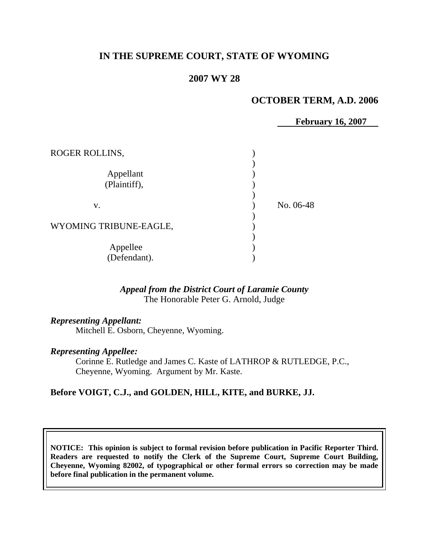# **IN THE SUPREME COURT, STATE OF WYOMING**

### **2007 WY 28**

## **OCTOBER TERM, A.D. 2006**

 **February 16, 2007**

| ROGER ROLLINS,            |           |
|---------------------------|-----------|
| Appellant<br>(Plaintiff), |           |
| V.                        | No. 06-48 |
| WYOMING TRIBUNE-EAGLE,    |           |
| Appellee<br>(Defendant).  |           |

## *Appeal from the District Court of Laramie County* The Honorable Peter G. Arnold, Judge

*Representing Appellant:*

Mitchell E. Osborn, Cheyenne, Wyoming.

#### *Representing Appellee:*

Corinne E. Rutledge and James C. Kaste of LATHROP & RUTLEDGE, P.C., Cheyenne, Wyoming. Argument by Mr. Kaste.

## **Before VOIGT, C.J., and GOLDEN, HILL, KITE, and BURKE, JJ.**

**NOTICE: This opinion is subject to formal revision before publication in Pacific Reporter Third. Readers are requested to notify the Clerk of the Supreme Court, Supreme Court Building, Cheyenne, Wyoming 82002, of typographical or other formal errors so correction may be made before final publication in the permanent volume.**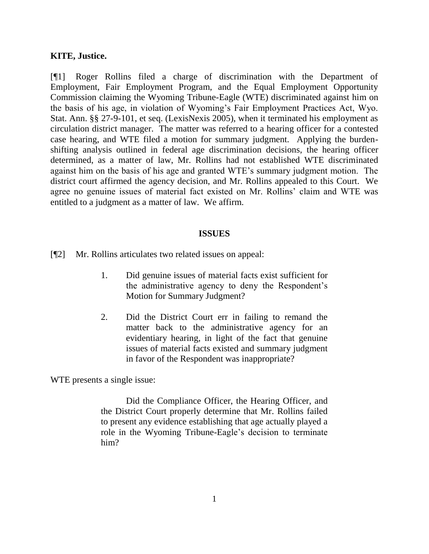#### **KITE, Justice.**

[¶1] Roger Rollins filed a charge of discrimination with the Department of Employment, Fair Employment Program, and the Equal Employment Opportunity Commission claiming the Wyoming Tribune-Eagle (WTE) discriminated against him on the basis of his age, in violation of Wyoming"s Fair Employment Practices Act, Wyo. Stat. Ann. §§ 27-9-101, et seq. (LexisNexis 2005), when it terminated his employment as circulation district manager. The matter was referred to a hearing officer for a contested case hearing, and WTE filed a motion for summary judgment. Applying the burdenshifting analysis outlined in federal age discrimination decisions, the hearing officer determined, as a matter of law, Mr. Rollins had not established WTE discriminated against him on the basis of his age and granted WTE"s summary judgment motion. The district court affirmed the agency decision, and Mr. Rollins appealed to this Court. We agree no genuine issues of material fact existed on Mr. Rollins" claim and WTE was entitled to a judgment as a matter of law. We affirm.

#### **ISSUES**

[¶2] Mr. Rollins articulates two related issues on appeal:

- 1. Did genuine issues of material facts exist sufficient for the administrative agency to deny the Respondent"s Motion for Summary Judgment?
- 2. Did the District Court err in failing to remand the matter back to the administrative agency for an evidentiary hearing, in light of the fact that genuine issues of material facts existed and summary judgment in favor of the Respondent was inappropriate?

WTE presents a single issue:

Did the Compliance Officer, the Hearing Officer, and the District Court properly determine that Mr. Rollins failed to present any evidence establishing that age actually played a role in the Wyoming Tribune-Eagle's decision to terminate him?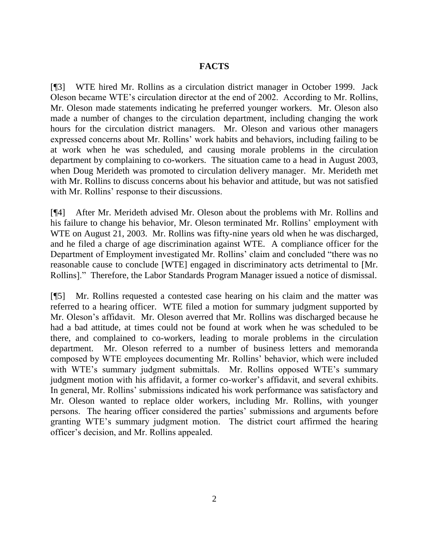## **FACTS**

[¶3] WTE hired Mr. Rollins as a circulation district manager in October 1999. Jack Oleson became WTE"s circulation director at the end of 2002. According to Mr. Rollins, Mr. Oleson made statements indicating he preferred younger workers. Mr. Oleson also made a number of changes to the circulation department, including changing the work hours for the circulation district managers. Mr. Oleson and various other managers expressed concerns about Mr. Rollins" work habits and behaviors, including failing to be at work when he was scheduled, and causing morale problems in the circulation department by complaining to co-workers. The situation came to a head in August 2003, when Doug Merideth was promoted to circulation delivery manager. Mr. Merideth met with Mr. Rollins to discuss concerns about his behavior and attitude, but was not satisfied with Mr. Rollins' response to their discussions.

[¶4] After Mr. Merideth advised Mr. Oleson about the problems with Mr. Rollins and his failure to change his behavior, Mr. Oleson terminated Mr. Rollins' employment with WTE on August 21, 2003. Mr. Rollins was fifty-nine years old when he was discharged, and he filed a charge of age discrimination against WTE. A compliance officer for the Department of Employment investigated Mr. Rollins" claim and concluded "there was no reasonable cause to conclude [WTE] engaged in discriminatory acts detrimental to [Mr. Rollins]." Therefore, the Labor Standards Program Manager issued a notice of dismissal.

[¶5] Mr. Rollins requested a contested case hearing on his claim and the matter was referred to a hearing officer. WTE filed a motion for summary judgment supported by Mr. Oleson"s affidavit. Mr. Oleson averred that Mr. Rollins was discharged because he had a bad attitude, at times could not be found at work when he was scheduled to be there, and complained to co-workers, leading to morale problems in the circulation department. Mr. Oleson referred to a number of business letters and memoranda composed by WTE employees documenting Mr. Rollins" behavior, which were included with WTE's summary judgment submittals. Mr. Rollins opposed WTE's summary judgment motion with his affidavit, a former co-worker's affidavit, and several exhibits. In general, Mr. Rollins' submissions indicated his work performance was satisfactory and Mr. Oleson wanted to replace older workers, including Mr. Rollins, with younger persons. The hearing officer considered the parties" submissions and arguments before granting WTE"s summary judgment motion. The district court affirmed the hearing officer"s decision, and Mr. Rollins appealed.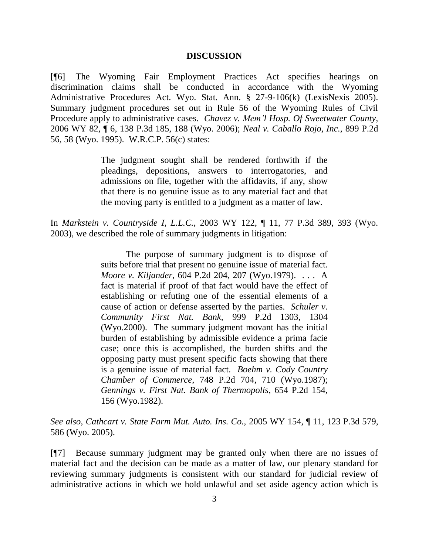#### **DISCUSSION**

[¶6] The Wyoming Fair Employment Practices Act specifies hearings on discrimination claims shall be conducted in accordance with the Wyoming Administrative Procedures Act. Wyo. Stat. Ann. § 27-9-106(k) (LexisNexis 2005). Summary judgment procedures set out in Rule 56 of the Wyoming Rules of Civil Procedure apply to administrative cases. *Chavez v. Mem'l Hosp. Of Sweetwater County,* 2006 WY 82, ¶ 6, 138 P.3d 185, 188 (Wyo. 2006); *Neal v. Caballo Rojo, Inc.,* 899 P.2d 56, 58 (Wyo. 1995). W.R.C.P. 56(c) states:

> The judgment sought shall be rendered forthwith if the pleadings, depositions, answers to interrogatories, and admissions on file, together with the affidavits, if any, show that there is no genuine issue as to any material fact and that the moving party is entitled to a judgment as a matter of law.

In *Markstein v. Countryside I, L.L.C.*, 2003 WY 122, ¶ 11, 77 P.3d 389, 393 (Wyo. 2003), we described the role of summary judgments in litigation:

> The purpose of summary judgment is to dispose of suits before trial that present no genuine issue of material fact. *Moore v. Kiljander*, 604 P.2d 204, 207 (Wyo.1979). . . . A fact is material if proof of that fact would have the effect of establishing or refuting one of the essential elements of a cause of action or defense asserted by the parties. *Schuler v. Community First Nat. Bank,* 999 P.2d 1303, 1304 (Wyo.2000). The summary judgment movant has the initial burden of establishing by admissible evidence a prima facie case; once this is accomplished, the burden shifts and the opposing party must present specific facts showing that there is a genuine issue of material fact. *Boehm v. Cody Country Chamber of Commerce*, 748 P.2d 704, 710 (Wyo.1987); *Gennings v. First Nat. Bank of Thermopolis*, 654 P.2d 154, 156 (Wyo.1982).

*See also*, *Cathcart v. State Farm Mut. Auto. Ins. Co.,* 2005 WY 154, ¶ 11, 123 P.3d 579, 586 (Wyo. 2005).

[¶7] Because summary judgment may be granted only when there are no issues of material fact and the decision can be made as a matter of law, our plenary standard for reviewing summary judgments is consistent with our standard for judicial review of administrative actions in which we hold unlawful and set aside agency action which is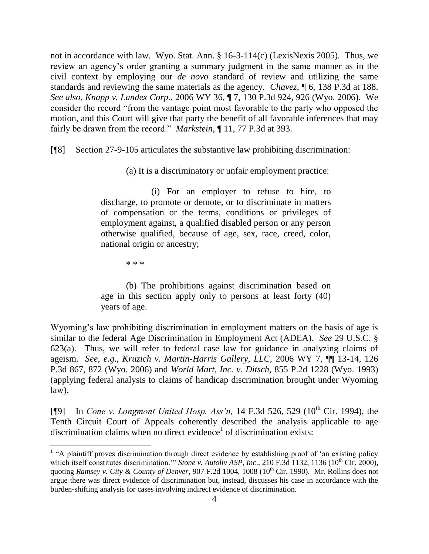not in accordance with law. Wyo. Stat. Ann. § 16-3-114(c) (LexisNexis 2005). Thus, we review an agency"s order granting a summary judgment in the same manner as in the civil context by employing our *de novo* standard of review and utilizing the same standards and reviewing the same materials as the agency. *Chavez,* ¶ 6, 138 P.3d at 188. *See also*, *Knapp v. Landex Corp.,* 2006 WY 36, ¶ 7, 130 P.3d 924, 926 (Wyo. 2006). We consider the record "from the vantage point most favorable to the party who opposed the motion, and this Court will give that party the benefit of all favorable inferences that may fairly be drawn from the record." *Markstein*, ¶ 11, 77 P.3d at 393.

[¶8] Section 27-9-105 articulates the substantive law prohibiting discrimination:

(a) It is a discriminatory or unfair employment practice:

(i) For an employer to refuse to hire, to discharge, to promote or demote, or to discriminate in matters of compensation or the terms, conditions or privileges of employment against, a qualified disabled person or any person otherwise qualified, because of age, sex, race, creed, color, national origin or ancestry;

\* \* \*

(b) The prohibitions against discrimination based on age in this section apply only to persons at least forty (40) years of age.

Wyoming's law prohibiting discrimination in employment matters on the basis of age is similar to the federal Age Discrimination in Employment Act (ADEA). *See* 29 U.S.C. § 623(a). Thus, we will refer to federal case law for guidance in analyzing claims of ageism. *See, e.g*., *Kruzich v. Martin-Harris Gallery, LLC,* 2006 WY 7, ¶¶ 13-14, 126 P.3d 867, 872 (Wyo. 2006) and *World Mart, Inc. v. Ditsch,* 855 P.2d 1228 (Wyo. 1993) (applying federal analysis to claims of handicap discrimination brought under Wyoming law).

[¶9] In *Cone v. Longmont United Hosp. Ass'n*, 14 F.3d 526, 529 (10<sup>th</sup> Cir. 1994), the Tenth Circuit Court of Appeals coherently described the analysis applicable to age discrimination claims when no direct evidence<sup>1</sup> of discrimination exists:

<sup>&</sup>lt;sup>1</sup> "A plaintiff proves discrimination through direct evidence by establishing proof of 'an existing policy which itself constitutes discrimination."" *Stone v. Autoliv ASP, Inc.*, 210 F.3d 1132, 1136 (10<sup>th</sup> Cir. 2000), quoting *Ramsey v. City & County of Denver*, 907 F.2d 1004, 1008 (10<sup>th</sup> Cir. 1990). Mr. Rollins does not argue there was direct evidence of discrimination but, instead, discusses his case in accordance with the burden-shifting analysis for cases involving indirect evidence of discrimination.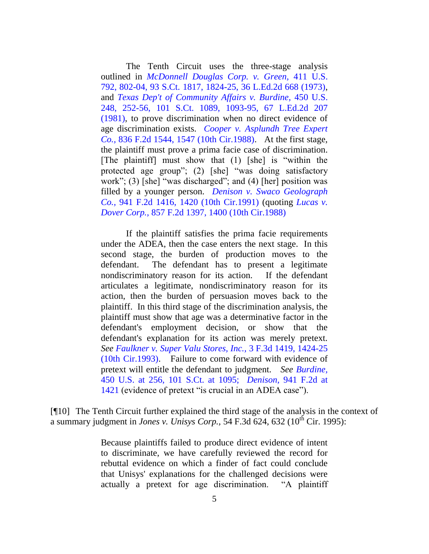The Tenth Circuit uses the three-stage analysis outlined in *[McDonnell Douglas Corp. v. Green,](http://www.westlaw.com/Find/Default.wl?rs=dfa1.0&vr=2.0&DB=708&FindType=Y&ReferencePositionType=S&SerialNum=1973126392&ReferencePosition=1824)* 411 [U.S.](http://www.westlaw.com/Find/Default.wl?rs=dfa1.0&vr=2.0&DB=708&FindType=Y&ReferencePositionType=S&SerialNum=1973126392&ReferencePosition=1824)  792, 802-04, 93 S.Ct. 1817, 1824-25, 36 L.Ed.2d 668 (1973), and *[Texas Dep't of Community Affairs v. Burdine,](http://www.westlaw.com/Find/Default.wl?rs=dfa1.0&vr=2.0&DB=708&FindType=Y&ReferencePositionType=S&SerialNum=1981109601&ReferencePosition=1093)* [450 U.S.](http://www.westlaw.com/Find/Default.wl?rs=dfa1.0&vr=2.0&DB=708&FindType=Y&ReferencePositionType=S&SerialNum=1981109601&ReferencePosition=1093)  248, 252-56, 101 S.Ct. 1089, 1093-95, 67 L.Ed.2d 207 (1981), to prove discrimination when no direct evidence of age discrimination exists. *[Cooper v. Asplundh Tree Expert](http://www.westlaw.com/Find/Default.wl?rs=dfa1.0&vr=2.0&DB=350&FindType=Y&ReferencePositionType=S&SerialNum=1988009344&ReferencePosition=1547) [Co.,](http://www.westlaw.com/Find/Default.wl?rs=dfa1.0&vr=2.0&DB=350&FindType=Y&ReferencePositionType=S&SerialNum=1988009344&ReferencePosition=1547)* [836 F.2d 1544, 1547 \(10th Cir.1988\).](http://www.westlaw.com/Find/Default.wl?rs=dfa1.0&vr=2.0&DB=350&FindType=Y&ReferencePositionType=S&SerialNum=1988009344&ReferencePosition=1547) At the first stage, the plaintiff must prove a prima facie case of discrimination. [The plaintiff] must show that (1) [she] is "within the protected age group"; (2) [she] "was doing satisfactory work"; (3) [she] "was discharged"; and (4) [her] position was filled by a younger person. *[Denison v. Swaco Geolograph](http://www.westlaw.com/Find/Default.wl?rs=dfa1.0&vr=2.0&DB=350&FindType=Y&ReferencePositionType=S&SerialNum=1991142605&ReferencePosition=1420)  [Co.,](http://www.westlaw.com/Find/Default.wl?rs=dfa1.0&vr=2.0&DB=350&FindType=Y&ReferencePositionType=S&SerialNum=1991142605&ReferencePosition=1420)* [941 F.2d 1416, 1420 \(10th Cir.1991\)](http://www.westlaw.com/Find/Default.wl?rs=dfa1.0&vr=2.0&DB=350&FindType=Y&ReferencePositionType=S&SerialNum=1991142605&ReferencePosition=1420) (quoting *[Lucas v.](http://www.westlaw.com/Find/Default.wl?rs=dfa1.0&vr=2.0&DB=350&FindType=Y&ReferencePositionType=S&SerialNum=1988122611&ReferencePosition=1400)  [Dover Corp.,](http://www.westlaw.com/Find/Default.wl?rs=dfa1.0&vr=2.0&DB=350&FindType=Y&ReferencePositionType=S&SerialNum=1988122611&ReferencePosition=1400)* [857 F.2d 1397, 1400 \(10th Cir.1988\)](http://www.westlaw.com/Find/Default.wl?rs=dfa1.0&vr=2.0&DB=350&FindType=Y&ReferencePositionType=S&SerialNum=1988122611&ReferencePosition=1400)

If the plaintiff satisfies the prima facie requirements under the ADEA, then the case enters the next stage. In this second stage, the burden of production moves to the defendant. The defendant has to present a legitimate nondiscriminatory reason for its action. If the defendant articulates a legitimate, nondiscriminatory reason for its action, then the burden of persuasion moves back to the plaintiff. In this third stage of the discrimination analysis, the plaintiff must show that age was a determinative factor in the defendant's employment decision, or show that the defendant's explanation for its action was merely pretext. *See [Faulkner v. Super Valu Stores, Inc.,](http://www.westlaw.com/Find/Default.wl?rs=dfa1.0&vr=2.0&DB=506&FindType=Y&ReferencePositionType=S&SerialNum=1993170768&ReferencePosition=1424)* [3 F.3d 1419, 1424-25](http://www.westlaw.com/Find/Default.wl?rs=dfa1.0&vr=2.0&DB=506&FindType=Y&ReferencePositionType=S&SerialNum=1993170768&ReferencePosition=1424)  (10th Cir.1993). Failure to come forward with evidence of pretext will entitle the defendant to judgment. *See [Burdine,](http://www.westlaw.com/Find/Default.wl?rs=dfa1.0&vr=2.0&DB=708&FindType=Y&ReferencePositionType=S&SerialNum=1981109601&ReferencePosition=1095)* 450 U.S. at 256, 101 S.Ct. at 1095; *[Denison,](http://www.westlaw.com/Find/Default.wl?rs=dfa1.0&vr=2.0&DB=350&FindType=Y&ReferencePositionType=S&SerialNum=1991142605&ReferencePosition=1421)* [941 F.2d at](http://www.westlaw.com/Find/Default.wl?rs=dfa1.0&vr=2.0&DB=350&FindType=Y&ReferencePositionType=S&SerialNum=1991142605&ReferencePosition=1421)  1421 (evidence of pretext "is crucial in an ADEA case").

[¶10] The Tenth Circuit further explained the third stage of the analysis in the context of a summary judgment in *Jones v. Unisys Corp.*, 54 F.3d 624, 632 (10<sup>th</sup> Cir. 1995):

> Because plaintiffs failed to produce direct evidence of intent to discriminate, we have carefully reviewed the record for rebuttal evidence on which a finder of fact could conclude that Unisys' explanations for the challenged decisions were actually a pretext for age discrimination. "A plaintiff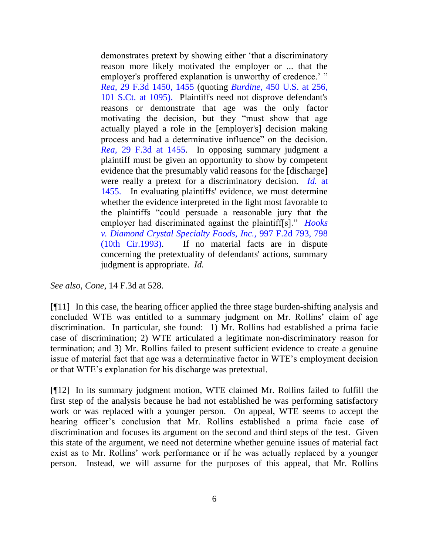demonstrates pretext by showing either "that a discriminatory reason more likely motivated the employer or ... that the employer's proffered explanation is unworthy of credence.'" *[Rea,](http://www.westlaw.com/Find/Default.wl?rs=dfa1.0&vr=2.0&DB=506&FindType=Y&ReferencePositionType=S&SerialNum=1994133718&ReferencePosition=1455)* [29 F.3d 1450, 1455](http://www.westlaw.com/Find/Default.wl?rs=dfa1.0&vr=2.0&DB=506&FindType=Y&ReferencePositionType=S&SerialNum=1994133718&ReferencePosition=1455) (quoting *[Burdine,](http://www.westlaw.com/Find/Default.wl?rs=dfa1.0&vr=2.0&DB=708&FindType=Y&ReferencePositionType=S&SerialNum=1981109601&ReferencePosition=1095)* [450 U.S. at 256,](http://www.westlaw.com/Find/Default.wl?rs=dfa1.0&vr=2.0&DB=708&FindType=Y&ReferencePositionType=S&SerialNum=1981109601&ReferencePosition=1095)  101 S.Ct. at 1095). Plaintiffs need not disprove defendant's reasons or demonstrate that age was the only factor motivating the decision, but they "must show that age actually played a role in the [employer's] decision making process and had a determinative influence" on the decision. *[Rea,](http://www.westlaw.com/Find/Default.wl?rs=dfa1.0&vr=2.0&DB=506&FindType=Y&ReferencePositionType=S&SerialNum=1994133718&ReferencePosition=1455)* [29 F.3d at 1455.](http://www.westlaw.com/Find/Default.wl?rs=dfa1.0&vr=2.0&DB=506&FindType=Y&ReferencePositionType=S&SerialNum=1994133718&ReferencePosition=1455) In opposing summary judgment a plaintiff must be given an opportunity to show by competent evidence that the presumably valid reasons for the [discharge] were really a pretext for a discriminatory decision. *[Id.](http://www.westlaw.com/Find/Default.wl?rs=dfa1.0&vr=2.0&FindType=Y&SerialNum=1994133718)* [at](http://www.westlaw.com/Find/Default.wl?rs=dfa1.0&vr=2.0&FindType=Y&SerialNum=1994133718)  1455. In evaluating plaintiffs' evidence, we must determine whether the evidence interpreted in the light most favorable to the plaintiffs "could persuade a reasonable jury that the employer had discriminated against the plaintiff[s]." *[Hooks](http://www.westlaw.com/Find/Default.wl?rs=dfa1.0&vr=2.0&DB=350&FindType=Y&ReferencePositionType=S&SerialNum=1993133384&ReferencePosition=798)  [v. Diamond Crystal Specialty Foods, Inc.,](http://www.westlaw.com/Find/Default.wl?rs=dfa1.0&vr=2.0&DB=350&FindType=Y&ReferencePositionType=S&SerialNum=1993133384&ReferencePosition=798)* [997 F.2d 793, 798](http://www.westlaw.com/Find/Default.wl?rs=dfa1.0&vr=2.0&DB=350&FindType=Y&ReferencePositionType=S&SerialNum=1993133384&ReferencePosition=798)  (10th Cir.1993). If no material facts are in dispute concerning the pretextuality of defendants' actions, summary judgment is appropriate. *Id.*

*See also, Cone,* 14 F.3d at 528.

[¶11] In this case, the hearing officer applied the three stage burden-shifting analysis and concluded WTE was entitled to a summary judgment on Mr. Rollins' claim of age discrimination. In particular, she found: 1) Mr. Rollins had established a prima facie case of discrimination; 2) WTE articulated a legitimate non-discriminatory reason for termination; and 3) Mr. Rollins failed to present sufficient evidence to create a genuine issue of material fact that age was a determinative factor in WTE"s employment decision or that WTE"s explanation for his discharge was pretextual.

[¶12] In its summary judgment motion, WTE claimed Mr. Rollins failed to fulfill the first step of the analysis because he had not established he was performing satisfactory work or was replaced with a younger person. On appeal, WTE seems to accept the hearing officer's conclusion that Mr. Rollins established a prima facie case of discrimination and focuses its argument on the second and third steps of the test. Given this state of the argument, we need not determine whether genuine issues of material fact exist as to Mr. Rollins' work performance or if he was actually replaced by a younger person. Instead, we will assume for the purposes of this appeal, that Mr. Rollins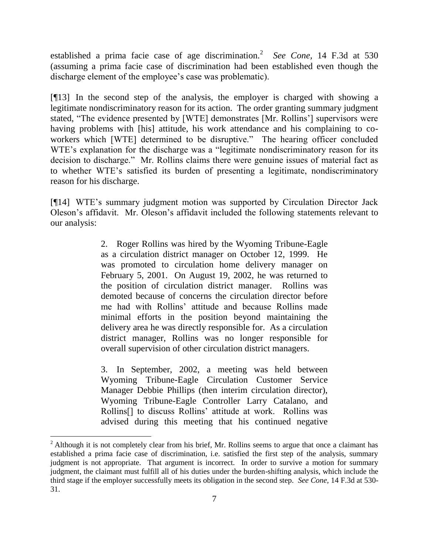established a prima facie case of age discrimination.<sup>2</sup> See Cone, 14 F.3d at 530 (assuming a prima facie case of discrimination had been established even though the discharge element of the employee's case was problematic).

[¶13] In the second step of the analysis, the employer is charged with showing a legitimate nondiscriminatory reason for its action. The order granting summary judgment stated, "The evidence presented by [WTE] demonstrates [Mr. Rollins"] supervisors were having problems with [his] attitude, his work attendance and his complaining to coworkers which [WTE] determined to be disruptive." The hearing officer concluded WTE's explanation for the discharge was a "legitimate nondiscriminatory reason for its decision to discharge." Mr. Rollins claims there were genuine issues of material fact as to whether WTE"s satisfied its burden of presenting a legitimate, nondiscriminatory reason for his discharge.

[¶14] WTE's summary judgment motion was supported by Circulation Director Jack Oleson"s affidavit. Mr. Oleson"s affidavit included the following statements relevant to our analysis:

> 2. Roger Rollins was hired by the Wyoming Tribune-Eagle as a circulation district manager on October 12, 1999. He was promoted to circulation home delivery manager on February 5, 2001. On August 19, 2002, he was returned to the position of circulation district manager. Rollins was demoted because of concerns the circulation director before me had with Rollins" attitude and because Rollins made minimal efforts in the position beyond maintaining the delivery area he was directly responsible for. As a circulation district manager, Rollins was no longer responsible for overall supervision of other circulation district managers.

> 3. In September, 2002, a meeting was held between Wyoming Tribune-Eagle Circulation Customer Service Manager Debbie Phillips (then interim circulation director), Wyoming Tribune-Eagle Controller Larry Catalano, and Rollins<sup>[]</sup> to discuss Rollins' attitude at work. Rollins was advised during this meeting that his continued negative

<sup>&</sup>lt;sup>2</sup> Although it is not completely clear from his brief, Mr. Rollins seems to argue that once a claimant has established a prima facie case of discrimination, i.e. satisfied the first step of the analysis, summary judgment is not appropriate. That argument is incorrect. In order to survive a motion for summary judgment, the claimant must fulfill all of his duties under the burden-shifting analysis, which include the third stage if the employer successfully meets its obligation in the second step. *See Cone,* 14 F.3d at 530- 31.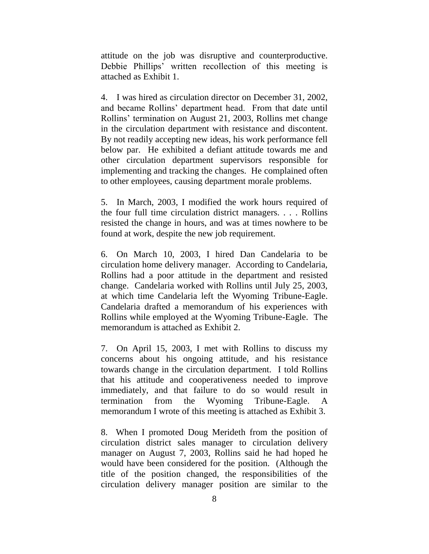attitude on the job was disruptive and counterproductive. Debbie Phillips" written recollection of this meeting is attached as Exhibit 1.

4. I was hired as circulation director on December 31, 2002, and became Rollins" department head. From that date until Rollins" termination on August 21, 2003, Rollins met change in the circulation department with resistance and discontent. By not readily accepting new ideas, his work performance fell below par. He exhibited a defiant attitude towards me and other circulation department supervisors responsible for implementing and tracking the changes. He complained often to other employees, causing department morale problems.

5. In March, 2003, I modified the work hours required of the four full time circulation district managers. . . . Rollins resisted the change in hours, and was at times nowhere to be found at work, despite the new job requirement.

6. On March 10, 2003, I hired Dan Candelaria to be circulation home delivery manager. According to Candelaria, Rollins had a poor attitude in the department and resisted change. Candelaria worked with Rollins until July 25, 2003, at which time Candelaria left the Wyoming Tribune-Eagle. Candelaria drafted a memorandum of his experiences with Rollins while employed at the Wyoming Tribune-Eagle. The memorandum is attached as Exhibit 2.

7. On April 15, 2003, I met with Rollins to discuss my concerns about his ongoing attitude, and his resistance towards change in the circulation department. I told Rollins that his attitude and cooperativeness needed to improve immediately, and that failure to do so would result in termination from the Wyoming Tribune-Eagle. A memorandum I wrote of this meeting is attached as Exhibit 3.

8. When I promoted Doug Merideth from the position of circulation district sales manager to circulation delivery manager on August 7, 2003, Rollins said he had hoped he would have been considered for the position. (Although the title of the position changed, the responsibilities of the circulation delivery manager position are similar to the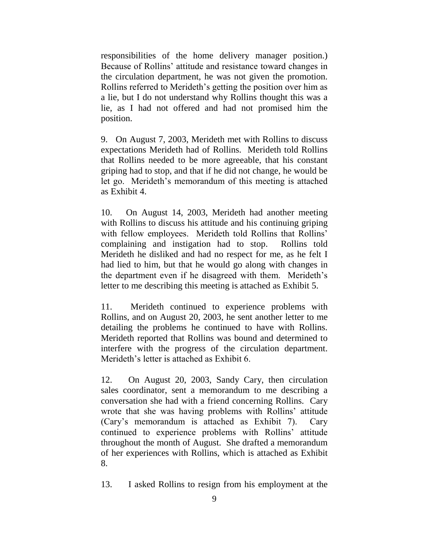responsibilities of the home delivery manager position.) Because of Rollins' attitude and resistance toward changes in the circulation department, he was not given the promotion. Rollins referred to Merideth"s getting the position over him as a lie, but I do not understand why Rollins thought this was a lie, as I had not offered and had not promised him the position.

9. On August 7, 2003, Merideth met with Rollins to discuss expectations Merideth had of Rollins. Merideth told Rollins that Rollins needed to be more agreeable, that his constant griping had to stop, and that if he did not change, he would be let go. Merideth"s memorandum of this meeting is attached as Exhibit 4.

10. On August 14, 2003, Merideth had another meeting with Rollins to discuss his attitude and his continuing griping with fellow employees. Merideth told Rollins that Rollins' complaining and instigation had to stop. Rollins told Merideth he disliked and had no respect for me, as he felt I had lied to him, but that he would go along with changes in the department even if he disagreed with them. Merideth's letter to me describing this meeting is attached as Exhibit 5.

11. Merideth continued to experience problems with Rollins, and on August 20, 2003, he sent another letter to me detailing the problems he continued to have with Rollins. Merideth reported that Rollins was bound and determined to interfere with the progress of the circulation department. Merideth's letter is attached as Exhibit 6.

12. On August 20, 2003, Sandy Cary, then circulation sales coordinator, sent a memorandum to me describing a conversation she had with a friend concerning Rollins. Cary wrote that she was having problems with Rollins' attitude (Cary"s memorandum is attached as Exhibit 7). Cary continued to experience problems with Rollins" attitude throughout the month of August. She drafted a memorandum of her experiences with Rollins, which is attached as Exhibit 8.

13. I asked Rollins to resign from his employment at the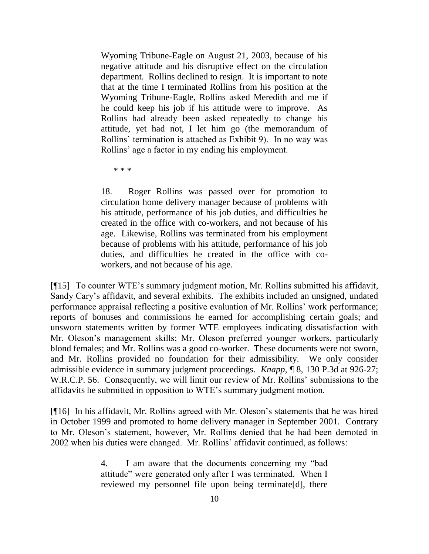Wyoming Tribune-Eagle on August 21, 2003, because of his negative attitude and his disruptive effect on the circulation department. Rollins declined to resign. It is important to note that at the time I terminated Rollins from his position at the Wyoming Tribune-Eagle, Rollins asked Meredith and me if he could keep his job if his attitude were to improve. As Rollins had already been asked repeatedly to change his attitude, yet had not, I let him go (the memorandum of Rollins" termination is attached as Exhibit 9). In no way was Rollins" age a factor in my ending his employment.

\* \* \*

18. Roger Rollins was passed over for promotion to circulation home delivery manager because of problems with his attitude, performance of his job duties, and difficulties he created in the office with co-workers, and not because of his age. Likewise, Rollins was terminated from his employment because of problems with his attitude, performance of his job duties, and difficulties he created in the office with coworkers, and not because of his age.

[¶15] To counter WTE"s summary judgment motion, Mr. Rollins submitted his affidavit, Sandy Cary"s affidavit, and several exhibits. The exhibits included an unsigned, undated performance appraisal reflecting a positive evaluation of Mr. Rollins" work performance; reports of bonuses and commissions he earned for accomplishing certain goals; and unsworn statements written by former WTE employees indicating dissatisfaction with Mr. Oleson"s management skills; Mr. Oleson preferred younger workers, particularly blond females; and Mr. Rollins was a good co-worker. These documents were not sworn, and Mr. Rollins provided no foundation for their admissibility. We only consider admissible evidence in summary judgment proceedings. *Knapp,* ¶ 8, 130 P.3d at 926-27; W.R.C.P. 56. Consequently, we will limit our review of Mr. Rollins' submissions to the affidavits he submitted in opposition to WTE"s summary judgment motion.

[¶16] In his affidavit, Mr. Rollins agreed with Mr. Oleson"s statements that he was hired in October 1999 and promoted to home delivery manager in September 2001. Contrary to Mr. Oleson"s statement, however, Mr. Rollins denied that he had been demoted in 2002 when his duties were changed. Mr. Rollins" affidavit continued, as follows:

> 4. I am aware that the documents concerning my "bad attitude" were generated only after I was terminated. When I reviewed my personnel file upon being terminate[d], there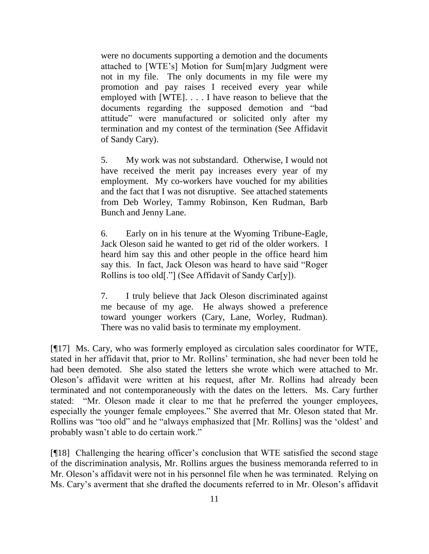were no documents supporting a demotion and the documents attached to [WTE"s] Motion for Sum[m]ary Judgment were not in my file. The only documents in my file were my promotion and pay raises I received every year while employed with [WTE]. . . . I have reason to believe that the documents regarding the supposed demotion and "bad attitude" were manufactured or solicited only after my termination and my contest of the termination (See Affidavit of Sandy Cary).

5. My work was not substandard. Otherwise, I would not have received the merit pay increases every year of my employment. My co-workers have vouched for my abilities and the fact that I was not disruptive. See attached statements from Deb Worley, Tammy Robinson, Ken Rudman, Barb Bunch and Jenny Lane.

6. Early on in his tenure at the Wyoming Tribune-Eagle, Jack Oleson said he wanted to get rid of the older workers. I heard him say this and other people in the office heard him say this. In fact, Jack Oleson was heard to have said "Roger Rollins is too old[."] (See Affidavit of Sandy Car[y]).

7. I truly believe that Jack Oleson discriminated against me because of my age. He always showed a preference toward younger workers (Cary, Lane, Worley, Rudman). There was no valid basis to terminate my employment.

[¶17] Ms. Cary, who was formerly employed as circulation sales coordinator for WTE, stated in her affidavit that, prior to Mr. Rollins" termination, she had never been told he had been demoted. She also stated the letters she wrote which were attached to Mr. Oleson"s affidavit were written at his request, after Mr. Rollins had already been terminated and not contemporaneously with the dates on the letters. Ms. Cary further stated: "Mr. Oleson made it clear to me that he preferred the younger employees, especially the younger female employees." She averred that Mr. Oleson stated that Mr. Rollins was "too old" and he "always emphasized that [Mr. Rollins] was the "oldest" and probably wasn"t able to do certain work."

[¶18] Challenging the hearing officer"s conclusion that WTE satisfied the second stage of the discrimination analysis, Mr. Rollins argues the business memoranda referred to in Mr. Oleson's affidavit were not in his personnel file when he was terminated. Relying on Ms. Cary's averment that she drafted the documents referred to in Mr. Oleson's affidavit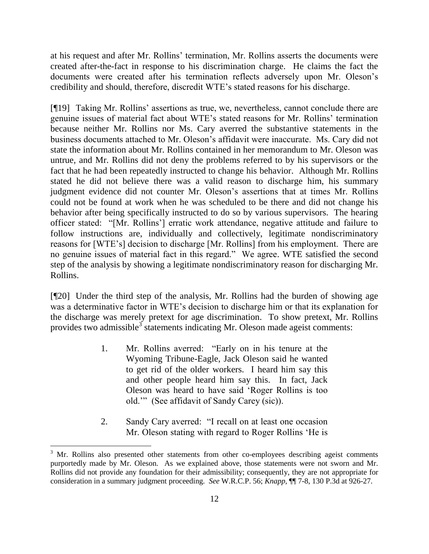at his request and after Mr. Rollins" termination, Mr. Rollins asserts the documents were created after-the-fact in response to his discrimination charge. He claims the fact the documents were created after his termination reflects adversely upon Mr. Oleson's credibility and should, therefore, discredit WTE"s stated reasons for his discharge.

[¶19] Taking Mr. Rollins" assertions as true, we, nevertheless, cannot conclude there are genuine issues of material fact about WTE"s stated reasons for Mr. Rollins" termination because neither Mr. Rollins nor Ms. Cary averred the substantive statements in the business documents attached to Mr. Oleson"s affidavit were inaccurate. Ms. Cary did not state the information about Mr. Rollins contained in her memorandum to Mr. Oleson was untrue, and Mr. Rollins did not deny the problems referred to by his supervisors or the fact that he had been repeatedly instructed to change his behavior. Although Mr. Rollins stated he did not believe there was a valid reason to discharge him, his summary judgment evidence did not counter Mr. Oleson's assertions that at times Mr. Rollins could not be found at work when he was scheduled to be there and did not change his behavior after being specifically instructed to do so by various supervisors. The hearing officer stated: "[Mr. Rollins"] erratic work attendance, negative attitude and failure to follow instructions are, individually and collectively, legitimate nondiscriminatory reasons for [WTE"s] decision to discharge [Mr. Rollins] from his employment. There are no genuine issues of material fact in this regard." We agree. WTE satisfied the second step of the analysis by showing a legitimate nondiscriminatory reason for discharging Mr. Rollins.

[¶20] Under the third step of the analysis, Mr. Rollins had the burden of showing age was a determinative factor in WTE's decision to discharge him or that its explanation for the discharge was merely pretext for age discrimination. To show pretext, Mr. Rollins provides two admissible<sup>3</sup> statements indicating Mr. Oleson made ageist comments:

- 1. Mr. Rollins averred: "Early on in his tenure at the Wyoming Tribune-Eagle, Jack Oleson said he wanted to get rid of the older workers. I heard him say this and other people heard him say this. In fact, Jack Oleson was heard to have said "Roger Rollins is too old."" (See affidavit of Sandy Carey (sic)).
- 2. Sandy Cary averred: "I recall on at least one occasion Mr. Oleson stating with regard to Roger Rollins "He is

<sup>&</sup>lt;sup>3</sup> Mr. Rollins also presented other statements from other co-employees describing ageist comments purportedly made by Mr. Oleson. As we explained above, those statements were not sworn and Mr. Rollins did not provide any foundation for their admissibility; consequently, they are not appropriate for consideration in a summary judgment proceeding. *See* W.R.C.P. 56; *Knapp,* ¶¶ 7-8, 130 P.3d at 926-27.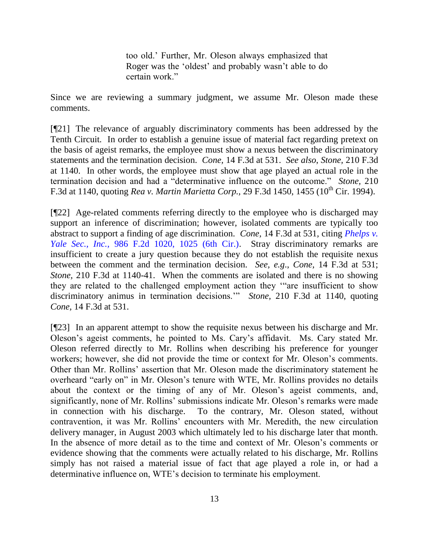too old." Further, Mr. Oleson always emphasized that Roger was the "oldest" and probably wasn"t able to do certain work."

Since we are reviewing a summary judgment, we assume Mr. Oleson made these comments.

[¶21] The relevance of arguably discriminatory comments has been addressed by the Tenth Circuit*.* In order to establish a genuine issue of material fact regarding pretext on the basis of ageist remarks, the employee must show a nexus between the discriminatory statements and the termination decision. *Cone,* 14 F.3d at 531. *See also*, *Stone,* 210 F.3d at 1140. In other words, the employee must show that age played an actual role in the termination decision and had a "determinative influence on the outcome." *Stone,* 210 F.3d at 1140, quoting *Rea v. Martin Marietta Corp.*, 29 F.3d 1450, 1455 (10<sup>th</sup> Cir. 1994).

[¶22] Age-related comments referring directly to the employee who is discharged may support an inference of discrimination; however, isolated comments are typically too abstract to support a finding of age discrimination. *Cone,* 14 F.3d at 531*,* citing *[Phelps v.](http://www.westlaw.com/Find/Default.wl?rs=dfa1.0&vr=2.0&DB=350&FindType=Y&ReferencePositionType=S&SerialNum=1993057161&ReferencePosition=1025)  [Yale Sec., Inc.,](http://www.westlaw.com/Find/Default.wl?rs=dfa1.0&vr=2.0&DB=350&FindType=Y&ReferencePositionType=S&SerialNum=1993057161&ReferencePosition=1025)* [986 F.2d 1020, 1025 \(6th Cir.\).](http://www.westlaw.com/Find/Default.wl?rs=dfa1.0&vr=2.0&DB=350&FindType=Y&ReferencePositionType=S&SerialNum=1993057161&ReferencePosition=1025) Stray discriminatory remarks are insufficient to create a jury question because they do not establish the requisite nexus between the comment and the termination decision. *See, e.g*., *Cone,* 14 F.3d at 531; *Stone,* 210 F.3d at 1140-41. When the comments are isolated and there is no showing they are related to the challenged employment action they ""are insufficient to show discriminatory animus in termination decisions."" *Stone,* 210 F.3d at 1140, quoting *Cone,* 14 F.3d at 531.

[¶23] In an apparent attempt to show the requisite nexus between his discharge and Mr. Oleson"s ageist comments, he pointed to Ms. Cary"s affidavit. Ms. Cary stated Mr. Oleson referred directly to Mr. Rollins when describing his preference for younger workers; however, she did not provide the time or context for Mr. Oleson's comments. Other than Mr. Rollins" assertion that Mr. Oleson made the discriminatory statement he overheard "early on" in Mr. Oleson"s tenure with WTE, Mr. Rollins provides no details about the context or the timing of any of Mr. Oleson"s ageist comments, and, significantly, none of Mr. Rollins' submissions indicate Mr. Oleson's remarks were made in connection with his discharge. To the contrary, Mr. Oleson stated, without contravention, it was Mr. Rollins" encounters with Mr. Meredith, the new circulation delivery manager, in August 2003 which ultimately led to his discharge later that month. In the absence of more detail as to the time and context of Mr. Oleson's comments or evidence showing that the comments were actually related to his discharge, Mr. Rollins simply has not raised a material issue of fact that age played a role in, or had a determinative influence on, WTE"s decision to terminate his employment.